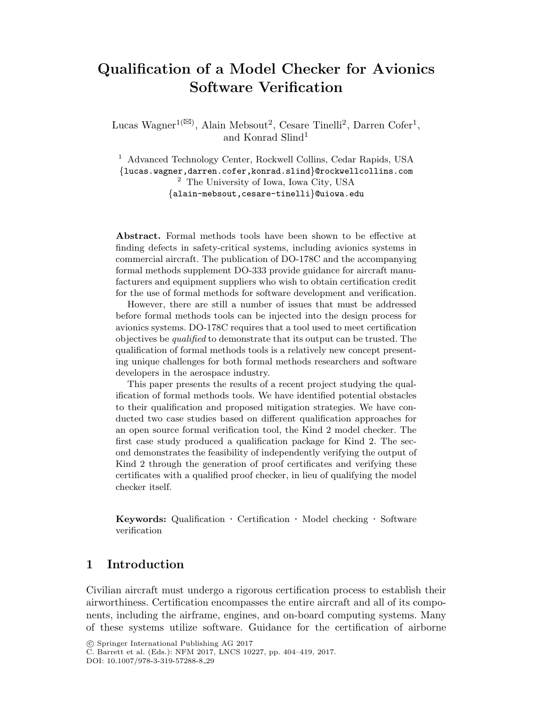# Qualification of a Model Checker for Avionics Software Verification

Lucas Wagner<sup>1( $\boxtimes$ )</sup>, Alain Mebsout<sup>2</sup>, Cesare Tinelli<sup>2</sup>, Darren Cofer<sup>1</sup>, and Konrad Slind<sup>1</sup>

<sup>1</sup> Advanced Technology Center, Rockwell Collins, Cedar Rapids, USA *{*lucas.wagner,darren.cofer,konrad.slind*}*@rockwellcollins.com <sup>2</sup> The University of Iowa, Iowa City, USA *{*alain-mebsout,cesare-tinelli*}*@uiowa.edu

Abstract. Formal methods tools have been shown to be effective at finding defects in safety-critical systems, including avionics systems in commercial aircraft. The publication of DO-178C and the accompanying formal methods supplement DO-333 provide guidance for aircraft manufacturers and equipment suppliers who wish to obtain certification credit for the use of formal methods for software development and verification.

However, there are still a number of issues that must be addressed before formal methods tools can be injected into the design process for avionics systems. DO-178C requires that a tool used to meet certification objectives be *qualified* to demonstrate that its output can be trusted. The qualification of formal methods tools is a relatively new concept presenting unique challenges for both formal methods researchers and software developers in the aerospace industry.

This paper presents the results of a recent project studying the qualification of formal methods tools. We have identified potential obstacles to their qualification and proposed mitigation strategies. We have conducted two case studies based on different qualification approaches for an open source formal verification tool, the Kind 2 model checker. The first case study produced a qualification package for Kind 2. The second demonstrates the feasibility of independently verifying the output of Kind 2 through the generation of proof certificates and verifying these certificates with a qualified proof checker, in lieu of qualifying the model checker itself.

Keywords: Qualification *·* Certification *·* Model checking *·* Software verification

### 1 Introduction

Civilian aircraft must undergo a rigorous certification process to establish their airworthiness. Certification encompasses the entire aircraft and all of its components, including the airframe, engines, and on-board computing systems. Many of these systems utilize software. Guidance for the certification of airborne

<sup>!</sup>c Springer International Publishing AG 2017

C. Barrett et al. (Eds.): NFM 2017, LNCS 10227, pp. 404–419, 2017.

DOI: 10.1007/978-3-319-57288-8 29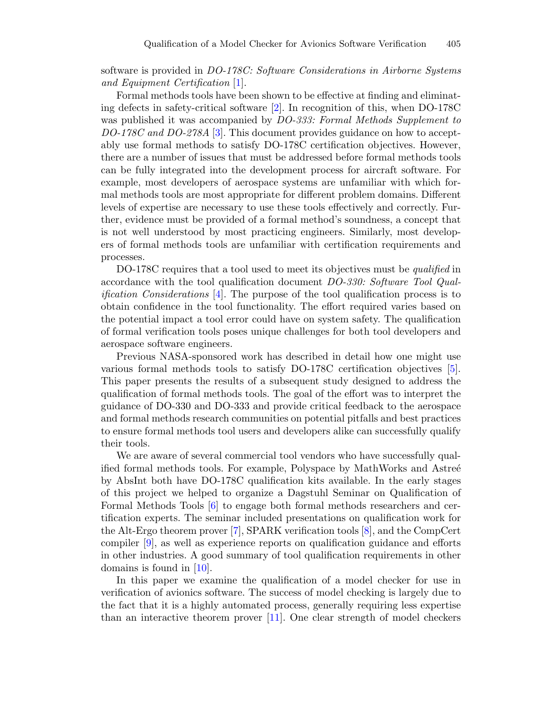software is provided in *DO-178C: Software Considerations in Airborne Systems and Equipment Certification* [1].

Formal methods tools have been shown to be effective at finding and eliminating defects in safety-critical software [2]. In recognition of this, when DO-178C was published it was accompanied by *DO-333: Formal Methods Supplement to DO-178C and DO-278A* [3]. This document provides guidance on how to acceptably use formal methods to satisfy DO-178C certification objectives. However, there are a number of issues that must be addressed before formal methods tools can be fully integrated into the development process for aircraft software. For example, most developers of aerospace systems are unfamiliar with which formal methods tools are most appropriate for different problem domains. Different levels of expertise are necessary to use these tools effectively and correctly. Further, evidence must be provided of a formal method's soundness, a concept that is not well understood by most practicing engineers. Similarly, most developers of formal methods tools are unfamiliar with certification requirements and processes.

DO-178C requires that a tool used to meet its objectives must be *qualified* in accordance with the tool qualification document *DO-330: Software Tool Qualification Considerations* [4]. The purpose of the tool qualification process is to obtain confidence in the tool functionality. The effort required varies based on the potential impact a tool error could have on system safety. The qualification of formal verification tools poses unique challenges for both tool developers and aerospace software engineers.

Previous NASA-sponsored work has described in detail how one might use various formal methods tools to satisfy DO-178C certification objectives [5]. This paper presents the results of a subsequent study designed to address the qualification of formal methods tools. The goal of the effort was to interpret the guidance of DO-330 and DO-333 and provide critical feedback to the aerospace and formal methods research communities on potential pitfalls and best practices to ensure formal methods tool users and developers alike can successfully qualify their tools.

We are aware of several commercial tool vendors who have successfully qualified formal methods tools. For example, Polyspace by MathWorks and Astree by AbsInt both have DO-178C qualification kits available. In the early stages of this project we helped to organize a Dagstuhl Seminar on Qualification of Formal Methods Tools [6] to engage both formal methods researchers and certification experts. The seminar included presentations on qualification work for the Alt-Ergo theorem prover [7], SPARK verification tools [8], and the CompCert compiler [9], as well as experience reports on qualification guidance and efforts in other industries. A good summary of tool qualification requirements in other domains is found in [10].

In this paper we examine the qualification of a model checker for use in verification of avionics software. The success of model checking is largely due to the fact that it is a highly automated process, generally requiring less expertise than an interactive theorem prover [11]. One clear strength of model checkers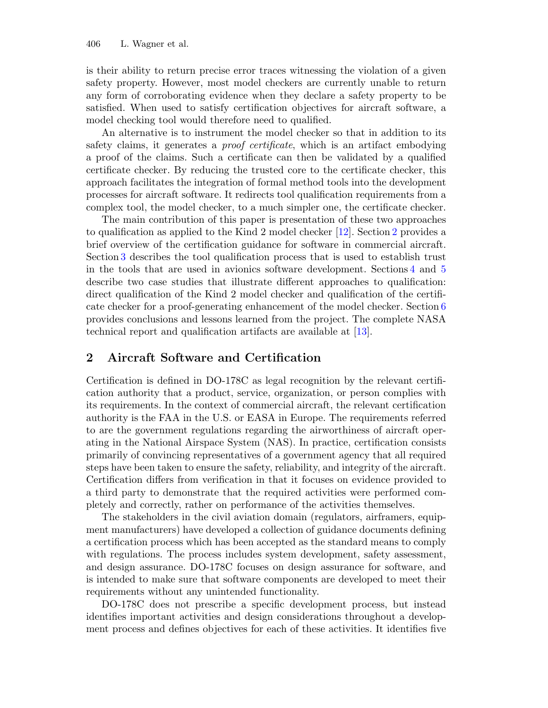is their ability to return precise error traces witnessing the violation of a given safety property. However, most model checkers are currently unable to return any form of corroborating evidence when they declare a safety property to be satisfied. When used to satisfy certification objectives for aircraft software, a model checking tool would therefore need to qualified.

An alternative is to instrument the model checker so that in addition to its safety claims, it generates a *proof certificate*, which is an artifact embodying a proof of the claims. Such a certificate can then be validated by a qualified certificate checker. By reducing the trusted core to the certificate checker, this approach facilitates the integration of formal method tools into the development processes for aircraft software. It redirects tool qualification requirements from a complex tool, the model checker, to a much simpler one, the certificate checker.

The main contribution of this paper is presentation of these two approaches to qualification as applied to the Kind 2 model checker [12]. Section 2 provides a brief overview of the certification guidance for software in commercial aircraft. Section 3 describes the tool qualification process that is used to establish trust in the tools that are used in avionics software development. Sections 4 and 5 describe two case studies that illustrate different approaches to qualification: direct qualification of the Kind 2 model checker and qualification of the certificate checker for a proof-generating enhancement of the model checker. Section 6 provides conclusions and lessons learned from the project. The complete NASA technical report and qualification artifacts are available at [13].

### 2 Aircraft Software and Certification

Certification is defined in DO-178C as legal recognition by the relevant certification authority that a product, service, organization, or person complies with its requirements. In the context of commercial aircraft, the relevant certification authority is the FAA in the U.S. or EASA in Europe. The requirements referred to are the government regulations regarding the airworthiness of aircraft operating in the National Airspace System (NAS). In practice, certification consists primarily of convincing representatives of a government agency that all required steps have been taken to ensure the safety, reliability, and integrity of the aircraft. Certification differs from verification in that it focuses on evidence provided to a third party to demonstrate that the required activities were performed completely and correctly, rather on performance of the activities themselves.

The stakeholders in the civil aviation domain (regulators, airframers, equipment manufacturers) have developed a collection of guidance documents defining a certification process which has been accepted as the standard means to comply with regulations. The process includes system development, safety assessment, and design assurance. DO-178C focuses on design assurance for software, and is intended to make sure that software components are developed to meet their requirements without any unintended functionality.

DO-178C does not prescribe a specific development process, but instead identifies important activities and design considerations throughout a development process and defines objectives for each of these activities. It identifies five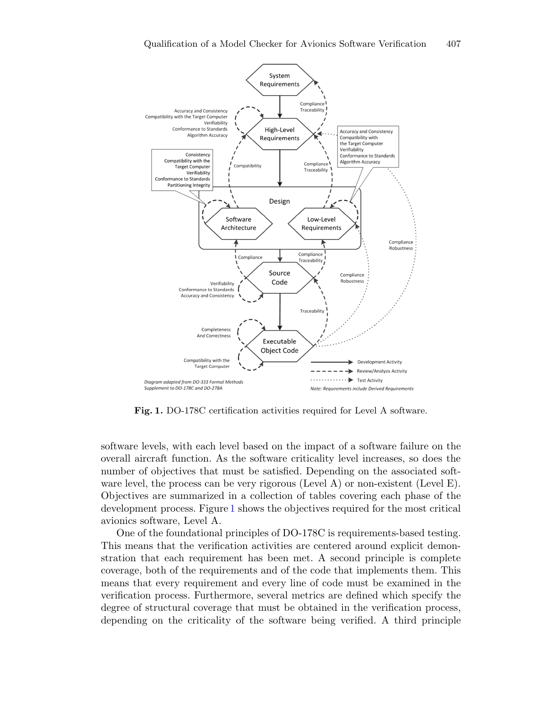

Fig. 1. DO-178C certification activities required for Level A software.

software levels, with each level based on the impact of a software failure on the overall aircraft function. As the software criticality level increases, so does the number of objectives that must be satisfied. Depending on the associated software level, the process can be very rigorous (Level A) or non-existent (Level E). Objectives are summarized in a collection of tables covering each phase of the development process. Figure 1 shows the objectives required for the most critical avionics software, Level A.

One of the foundational principles of DO-178C is requirements-based testing. This means that the verification activities are centered around explicit demonstration that each requirement has been met. A second principle is complete coverage, both of the requirements and of the code that implements them. This means that every requirement and every line of code must be examined in the verification process. Furthermore, several metrics are defined which specify the degree of structural coverage that must be obtained in the verification process, depending on the criticality of the software being verified. A third principle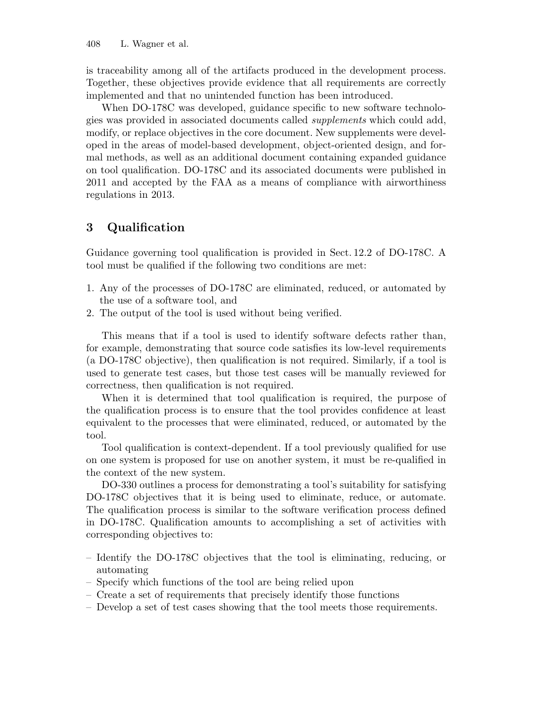is traceability among all of the artifacts produced in the development process. Together, these objectives provide evidence that all requirements are correctly implemented and that no unintended function has been introduced.

When DO-178C was developed, guidance specific to new software technologies was provided in associated documents called *supplements* which could add, modify, or replace objectives in the core document. New supplements were developed in the areas of model-based development, object-oriented design, and formal methods, as well as an additional document containing expanded guidance on tool qualification. DO-178C and its associated documents were published in 2011 and accepted by the FAA as a means of compliance with airworthiness regulations in 2013.

### 3 Qualification

Guidance governing tool qualification is provided in Sect. 12.2 of DO-178C. A tool must be qualified if the following two conditions are met:

- 1. Any of the processes of DO-178C are eliminated, reduced, or automated by the use of a software tool, and
- 2. The output of the tool is used without being verified.

This means that if a tool is used to identify software defects rather than, for example, demonstrating that source code satisfies its low-level requirements (a DO-178C objective), then qualification is not required. Similarly, if a tool is used to generate test cases, but those test cases will be manually reviewed for correctness, then qualification is not required.

When it is determined that tool qualification is required, the purpose of the qualification process is to ensure that the tool provides confidence at least equivalent to the processes that were eliminated, reduced, or automated by the tool.

Tool qualification is context-dependent. If a tool previously qualified for use on one system is proposed for use on another system, it must be re-qualified in the context of the new system.

DO-330 outlines a process for demonstrating a tool's suitability for satisfying DO-178C objectives that it is being used to eliminate, reduce, or automate. The qualification process is similar to the software verification process defined in DO-178C. Qualification amounts to accomplishing a set of activities with corresponding objectives to:

- Identify the DO-178C objectives that the tool is eliminating, reducing, or automating
- Specify which functions of the tool are being relied upon
- Create a set of requirements that precisely identify those functions
- Develop a set of test cases showing that the tool meets those requirements.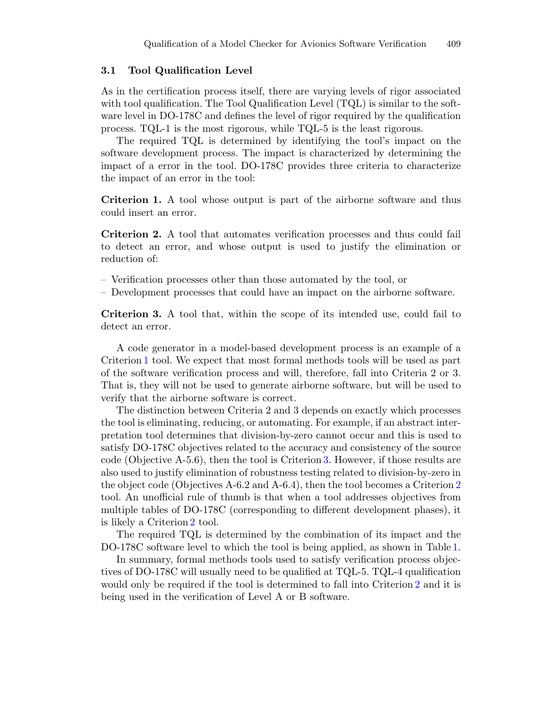#### 3.1 Tool Qualification Level

As in the certification process itself, there are varying levels of rigor associated with tool qualification. The Tool Qualification Level (TQL) is similar to the software level in DO-178C and defines the level of rigor required by the qualification process. TQL-1 is the most rigorous, while TQL-5 is the least rigorous.

The required TQL is determined by identifying the tool's impact on the software development process. The impact is characterized by determining the impact of a error in the tool. DO-178C provides three criteria to characterize the impact of an error in the tool:

Criterion 1. A tool whose output is part of the airborne software and thus could insert an error.

Criterion 2. A tool that automates verification processes and thus could fail to detect an error, and whose output is used to justify the elimination or reduction of:

- Verification processes other than those automated by the tool, or
- Development processes that could have an impact on the airborne software.

Criterion 3. A tool that, within the scope of its intended use, could fail to detect an error.

A code generator in a model-based development process is an example of a Criterion 1 tool. We expect that most formal methods tools will be used as part of the software verification process and will, therefore, fall into Criteria 2 or 3. That is, they will not be used to generate airborne software, but will be used to verify that the airborne software is correct.

The distinction between Criteria 2 and 3 depends on exactly which processes the tool is eliminating, reducing, or automating. For example, if an abstract interpretation tool determines that division-by-zero cannot occur and this is used to satisfy DO-178C objectives related to the accuracy and consistency of the source code (Objective A-5.6), then the tool is Criterion 3. However, if those results are also used to justify elimination of robustness testing related to division-by-zero in the object code (Objectives A-6.2 and A-6.4), then the tool becomes a Criterion 2 tool. An unofficial rule of thumb is that when a tool addresses objectives from multiple tables of DO-178C (corresponding to different development phases), it is likely a Criterion 2 tool.

The required TQL is determined by the combination of its impact and the DO-178C software level to which the tool is being applied, as shown in Table 1.

In summary, formal methods tools used to satisfy verification process objectives of DO-178C will usually need to be qualified at TQL-5. TQL-4 qualification would only be required if the tool is determined to fall into Criterion 2 and it is being used in the verification of Level A or B software.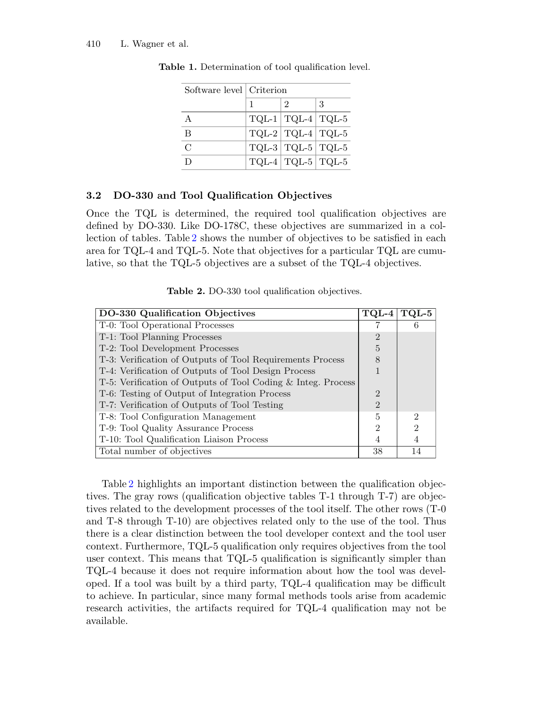| Software level   Criterion |  |                         |   |
|----------------------------|--|-------------------------|---|
|                            |  | $\mathcal{D}$           | 3 |
| A                          |  | $TQL-1$ $TQL-4$ $TQL-5$ |   |
| B                          |  | $TQL-2$ $TQL-4$ $TQL-5$ |   |
| $\mathcal{C}$              |  | $TQL-3   TQL-5   TQL-5$ |   |
|                            |  | $TQL-4$ $TQL-5$ $TQL-5$ |   |

Table 1. Determination of tool qualification level.

#### 3.2 DO-330 and Tool Qualification Objectives

Once the TQL is determined, the required tool qualification objectives are defined by DO-330. Like DO-178C, these objectives are summarized in a collection of tables. Table 2 shows the number of objectives to be satisfied in each area for TQL-4 and TQL-5. Note that objectives for a particular TQL are cumulative, so that the TQL-5 objectives are a subset of the TQL-4 objectives.

Table 2. DO-330 tool qualification objectives.

| DO-330 Qualification Objectives                              |                |                |
|--------------------------------------------------------------|----------------|----------------|
| T-0: Tool Operational Processes                              |                | 6              |
| T-1: Tool Planning Processes                                 | $\overline{2}$ |                |
| T-2: Tool Development Processes                              |                |                |
| T-3: Verification of Outputs of Tool Requirements Process    |                |                |
| T-4: Verification of Outputs of Tool Design Process          |                |                |
| T-5: Verification of Outputs of Tool Coding & Integ. Process |                |                |
| T-6: Testing of Output of Integration Process                |                |                |
| T-7: Verification of Outputs of Tool Testing                 |                |                |
| T-8: Tool Configuration Management                           | 5              | $\overline{2}$ |
| T-9: Tool Quality Assurance Process                          |                | $\overline{2}$ |
| T-10: Tool Qualification Liaison Process                     |                |                |
| Total number of objectives                                   |                | 14             |

Table 2 highlights an important distinction between the qualification objectives. The gray rows (qualification objective tables T-1 through T-7) are objectives related to the development processes of the tool itself. The other rows (T-0 and T-8 through T-10) are objectives related only to the use of the tool. Thus there is a clear distinction between the tool developer context and the tool user context. Furthermore, TQL-5 qualification only requires objectives from the tool user context. This means that TQL-5 qualification is significantly simpler than TQL-4 because it does not require information about how the tool was developed. If a tool was built by a third party, TQL-4 qualification may be difficult to achieve. In particular, since many formal methods tools arise from academic research activities, the artifacts required for TQL-4 qualification may not be available.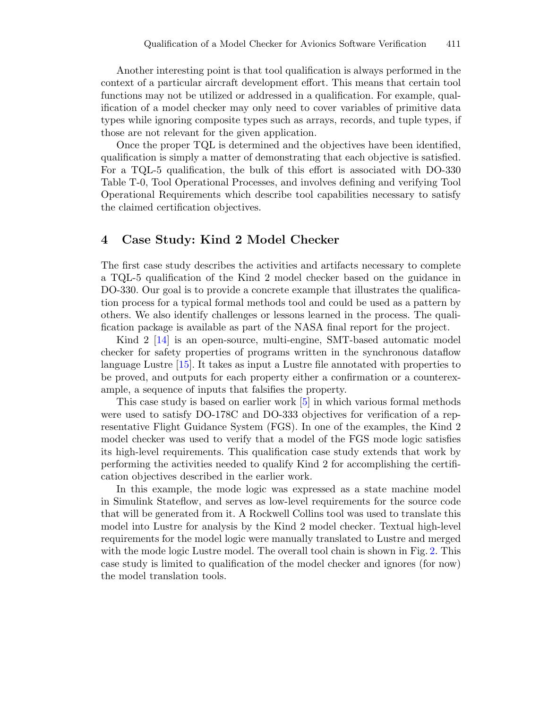Another interesting point is that tool qualification is always performed in the context of a particular aircraft development effort. This means that certain tool functions may not be utilized or addressed in a qualification. For example, qualification of a model checker may only need to cover variables of primitive data types while ignoring composite types such as arrays, records, and tuple types, if those are not relevant for the given application.

Once the proper TQL is determined and the objectives have been identified, qualification is simply a matter of demonstrating that each objective is satisfied. For a TQL-5 qualification, the bulk of this effort is associated with DO-330 Table T-0, Tool Operational Processes, and involves defining and verifying Tool Operational Requirements which describe tool capabilities necessary to satisfy the claimed certification objectives.

### 4 Case Study: Kind 2 Model Checker

The first case study describes the activities and artifacts necessary to complete a TQL-5 qualification of the Kind 2 model checker based on the guidance in DO-330. Our goal is to provide a concrete example that illustrates the qualification process for a typical formal methods tool and could be used as a pattern by others. We also identify challenges or lessons learned in the process. The qualification package is available as part of the NASA final report for the project.

Kind 2 [14] is an open-source, multi-engine, SMT-based automatic model checker for safety properties of programs written in the synchronous dataflow language Lustre [15]. It takes as input a Lustre file annotated with properties to be proved, and outputs for each property either a confirmation or a counterexample, a sequence of inputs that falsifies the property.

This case study is based on earlier work [5] in which various formal methods were used to satisfy DO-178C and DO-333 objectives for verification of a representative Flight Guidance System (FGS). In one of the examples, the Kind 2 model checker was used to verify that a model of the FGS mode logic satisfies its high-level requirements. This qualification case study extends that work by performing the activities needed to qualify Kind 2 for accomplishing the certification objectives described in the earlier work.

In this example, the mode logic was expressed as a state machine model in Simulink Stateflow, and serves as low-level requirements for the source code that will be generated from it. A Rockwell Collins tool was used to translate this model into Lustre for analysis by the Kind 2 model checker. Textual high-level requirements for the model logic were manually translated to Lustre and merged with the mode logic Lustre model. The overall tool chain is shown in Fig. 2. This case study is limited to qualification of the model checker and ignores (for now) the model translation tools.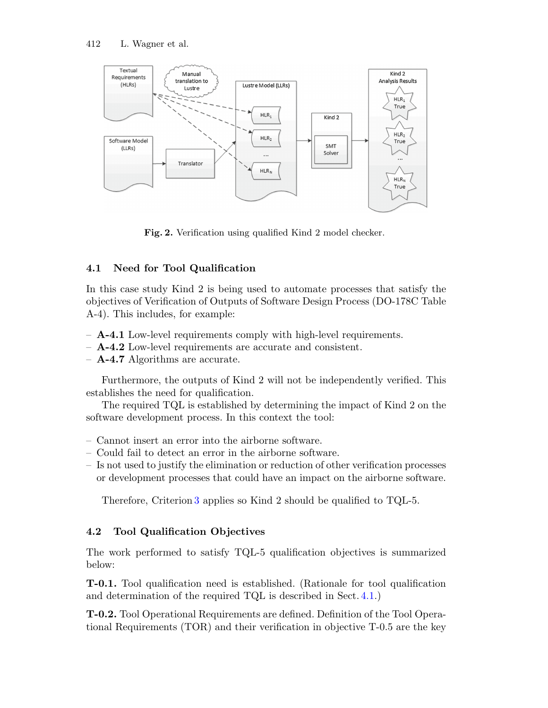

Fig. 2. Verification using qualified Kind 2 model checker.

### 4.1 Need for Tool Qualification

In this case study Kind 2 is being used to automate processes that satisfy the objectives of Verification of Outputs of Software Design Process (DO-178C Table A-4). This includes, for example:

- **A-4.1** Low-level requirements comply with high-level requirements.
- A-4.2 Low-level requirements are accurate and consistent.
- $-$  **A-4.7** Algorithms are accurate.

Furthermore, the outputs of Kind 2 will not be independently verified. This establishes the need for qualification.

The required TQL is established by determining the impact of Kind 2 on the software development process. In this context the tool:

- Cannot insert an error into the airborne software.
- Could fail to detect an error in the airborne software.
- Is not used to justify the elimination or reduction of other verification processes or development processes that could have an impact on the airborne software.

Therefore, Criterion 3 applies so Kind 2 should be qualified to TQL-5.

## 4.2 Tool Qualification Objectives

The work performed to satisfy TQL-5 qualification objectives is summarized below:

T-0.1. Tool qualification need is established. (Rationale for tool qualification and determination of the required TQL is described in Sect. 4.1.)

T-0.2. Tool Operational Requirements are defined. Definition of the Tool Operational Requirements (TOR) and their verification in objective T-0.5 are the key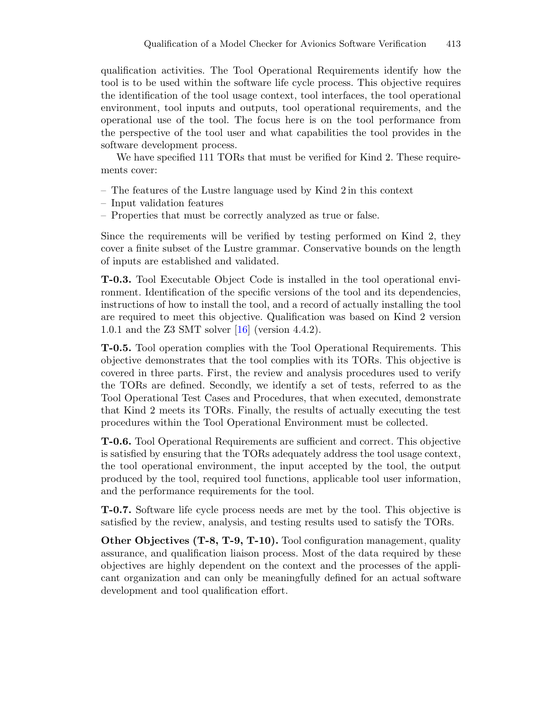qualification activities. The Tool Operational Requirements identify how the tool is to be used within the software life cycle process. This objective requires the identification of the tool usage context, tool interfaces, the tool operational environment, tool inputs and outputs, tool operational requirements, and the operational use of the tool. The focus here is on the tool performance from the perspective of the tool user and what capabilities the tool provides in the software development process.

We have specified 111 TORs that must be verified for Kind 2. These requirements cover:

- The features of the Lustre language used by Kind 2 in this context
- Input validation features
- Properties that must be correctly analyzed as true or false.

Since the requirements will be verified by testing performed on Kind 2, they cover a finite subset of the Lustre grammar. Conservative bounds on the length of inputs are established and validated.

T-0.3. Tool Executable Object Code is installed in the tool operational environment. Identification of the specific versions of the tool and its dependencies, instructions of how to install the tool, and a record of actually installing the tool are required to meet this objective. Qualification was based on Kind 2 version 1.0.1 and the Z3 SMT solver [16] (version 4.4.2).

T-0.5. Tool operation complies with the Tool Operational Requirements. This objective demonstrates that the tool complies with its TORs. This objective is covered in three parts. First, the review and analysis procedures used to verify the TORs are defined. Secondly, we identify a set of tests, referred to as the Tool Operational Test Cases and Procedures, that when executed, demonstrate that Kind 2 meets its TORs. Finally, the results of actually executing the test procedures within the Tool Operational Environment must be collected.

T-0.6. Tool Operational Requirements are sufficient and correct. This objective is satisfied by ensuring that the TORs adequately address the tool usage context, the tool operational environment, the input accepted by the tool, the output produced by the tool, required tool functions, applicable tool user information, and the performance requirements for the tool.

T-0.7. Software life cycle process needs are met by the tool. This objective is satisfied by the review, analysis, and testing results used to satisfy the TORs.

Other Objectives (T-8, T-9, T-10). Tool configuration management, quality assurance, and qualification liaison process. Most of the data required by these objectives are highly dependent on the context and the processes of the applicant organization and can only be meaningfully defined for an actual software development and tool qualification effort.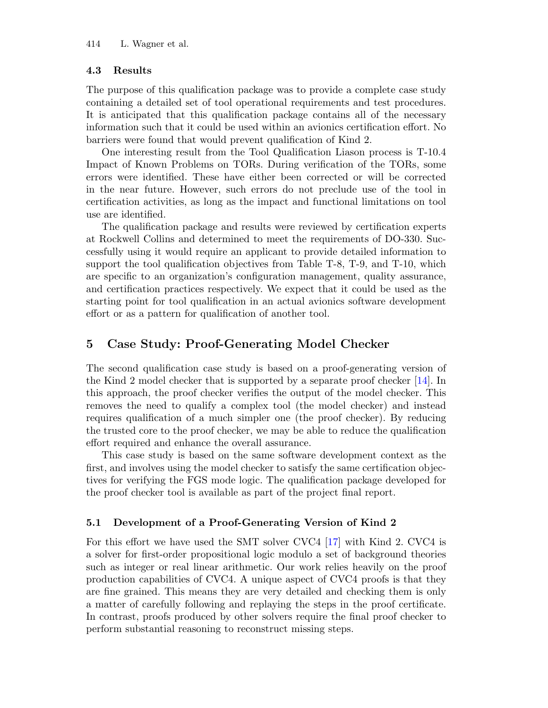### 4.3 Results

The purpose of this qualification package was to provide a complete case study containing a detailed set of tool operational requirements and test procedures. It is anticipated that this qualification package contains all of the necessary information such that it could be used within an avionics certification effort. No barriers were found that would prevent qualification of Kind 2.

One interesting result from the Tool Qualification Liason process is T-10.4 Impact of Known Problems on TORs. During verification of the TORs, some errors were identified. These have either been corrected or will be corrected in the near future. However, such errors do not preclude use of the tool in certification activities, as long as the impact and functional limitations on tool use are identified.

The qualification package and results were reviewed by certification experts at Rockwell Collins and determined to meet the requirements of DO-330. Successfully using it would require an applicant to provide detailed information to support the tool qualification objectives from Table T-8, T-9, and T-10, which are specific to an organization's configuration management, quality assurance, and certification practices respectively. We expect that it could be used as the starting point for tool qualification in an actual avionics software development effort or as a pattern for qualification of another tool.

# 5 Case Study: Proof-Generating Model Checker

The second qualification case study is based on a proof-generating version of the Kind 2 model checker that is supported by a separate proof checker [14]. In this approach, the proof checker verifies the output of the model checker. This removes the need to qualify a complex tool (the model checker) and instead requires qualification of a much simpler one (the proof checker). By reducing the trusted core to the proof checker, we may be able to reduce the qualification effort required and enhance the overall assurance.

This case study is based on the same software development context as the first, and involves using the model checker to satisfy the same certification objectives for verifying the FGS mode logic. The qualification package developed for the proof checker tool is available as part of the project final report.

### 5.1 Development of a Proof-Generating Version of Kind 2

For this effort we have used the SMT solver CVC4 [17] with Kind 2. CVC4 is a solver for first-order propositional logic modulo a set of background theories such as integer or real linear arithmetic. Our work relies heavily on the proof production capabilities of CVC4. A unique aspect of CVC4 proofs is that they are fine grained. This means they are very detailed and checking them is only a matter of carefully following and replaying the steps in the proof certificate. In contrast, proofs produced by other solvers require the final proof checker to perform substantial reasoning to reconstruct missing steps.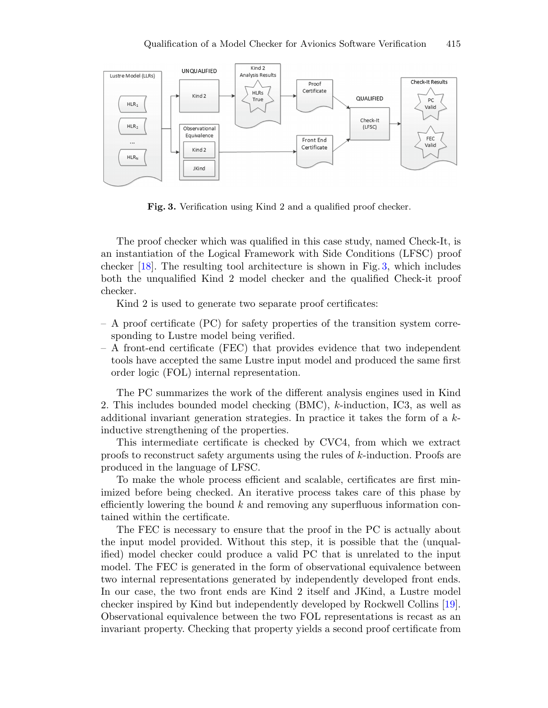

Fig. 3. Verification using Kind 2 and a qualified proof checker.

The proof checker which was qualified in this case study, named Check-It, is an instantiation of the Logical Framework with Side Conditions (LFSC) proof checker [18]. The resulting tool architecture is shown in Fig. 3, which includes both the unqualified Kind 2 model checker and the qualified Check-it proof checker.

Kind 2 is used to generate two separate proof certificates:

- A proof certificate (PC) for safety properties of the transition system corresponding to Lustre model being verified.
- A front-end certificate (FEC) that provides evidence that two independent tools have accepted the same Lustre input model and produced the same first order logic (FOL) internal representation.

The PC summarizes the work of the different analysis engines used in Kind 2. This includes bounded model checking (BMC), *k*-induction, IC3, as well as additional invariant generation strategies. In practice it takes the form of a *k*inductive strengthening of the properties.

This intermediate certificate is checked by CVC4, from which we extract proofs to reconstruct safety arguments using the rules of *k*-induction. Proofs are produced in the language of LFSC.

To make the whole process efficient and scalable, certificates are first minimized before being checked. An iterative process takes care of this phase by efficiently lowering the bound *k* and removing any superfluous information contained within the certificate.

The FEC is necessary to ensure that the proof in the PC is actually about the input model provided. Without this step, it is possible that the (unqualified) model checker could produce a valid PC that is unrelated to the input model. The FEC is generated in the form of observational equivalence between two internal representations generated by independently developed front ends. In our case, the two front ends are Kind 2 itself and JKind, a Lustre model checker inspired by Kind but independently developed by Rockwell Collins [19]. Observational equivalence between the two FOL representations is recast as an invariant property. Checking that property yields a second proof certificate from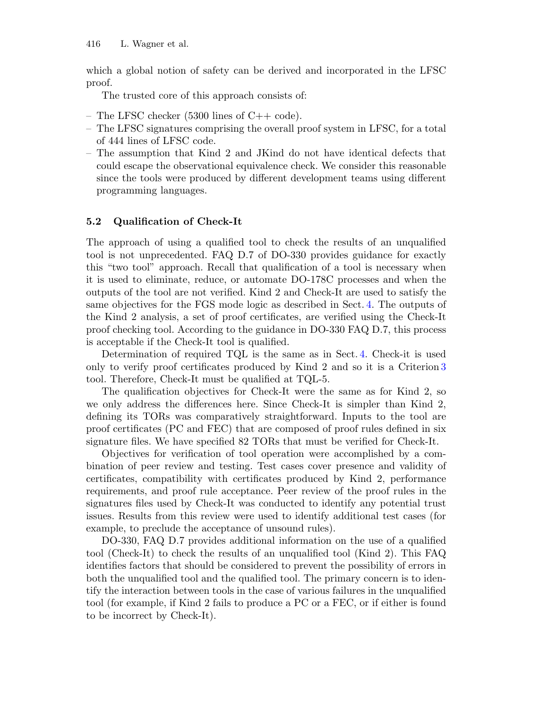which a global notion of safety can be derived and incorporated in the LFSC proof.

The trusted core of this approach consists of:

- The LFSC checker (5300 lines of C++ code).
- The LFSC signatures comprising the overall proof system in LFSC, for a total of 444 lines of LFSC code.
- The assumption that Kind 2 and JKind do not have identical defects that could escape the observational equivalence check. We consider this reasonable since the tools were produced by different development teams using different programming languages.

#### 5.2 Qualification of Check-It

The approach of using a qualified tool to check the results of an unqualified tool is not unprecedented. FAQ D.7 of DO-330 provides guidance for exactly this "two tool" approach. Recall that qualification of a tool is necessary when it is used to eliminate, reduce, or automate DO-178C processes and when the outputs of the tool are not verified. Kind 2 and Check-It are used to satisfy the same objectives for the FGS mode logic as described in Sect. 4. The outputs of the Kind 2 analysis, a set of proof certificates, are verified using the Check-It proof checking tool. According to the guidance in DO-330 FAQ D.7, this process is acceptable if the Check-It tool is qualified.

Determination of required TQL is the same as in Sect. 4. Check-it is used only to verify proof certificates produced by Kind 2 and so it is a Criterion 3 tool. Therefore, Check-It must be qualified at TQL-5.

The qualification objectives for Check-It were the same as for Kind 2, so we only address the differences here. Since Check-It is simpler than Kind 2, defining its TORs was comparatively straightforward. Inputs to the tool are proof certificates (PC and FEC) that are composed of proof rules defined in six signature files. We have specified 82 TORs that must be verified for Check-It.

Objectives for verification of tool operation were accomplished by a combination of peer review and testing. Test cases cover presence and validity of certificates, compatibility with certificates produced by Kind 2, performance requirements, and proof rule acceptance. Peer review of the proof rules in the signatures files used by Check-It was conducted to identify any potential trust issues. Results from this review were used to identify additional test cases (for example, to preclude the acceptance of unsound rules).

DO-330, FAQ D.7 provides additional information on the use of a qualified tool (Check-It) to check the results of an unqualified tool (Kind 2). This FAQ identifies factors that should be considered to prevent the possibility of errors in both the unqualified tool and the qualified tool. The primary concern is to identify the interaction between tools in the case of various failures in the unqualified tool (for example, if Kind 2 fails to produce a PC or a FEC, or if either is found to be incorrect by Check-It).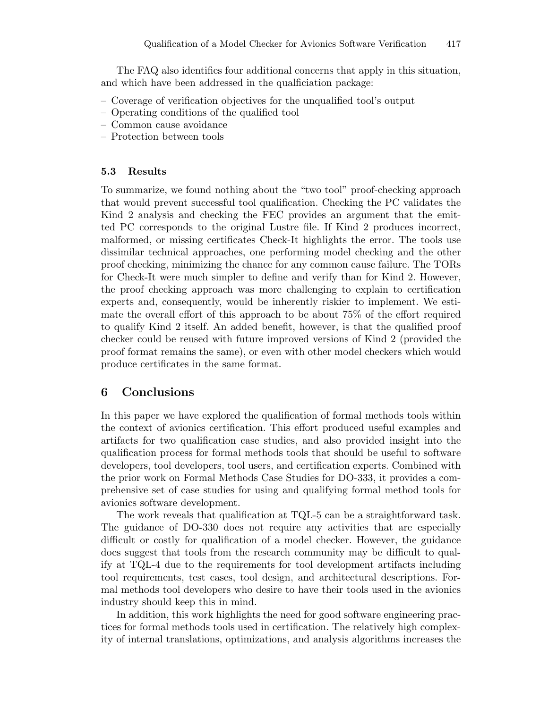The FAQ also identifies four additional concerns that apply in this situation, and which have been addressed in the qualficiation package:

- Coverage of verification objectives for the unqualified tool's output
- Operating conditions of the qualified tool
- Common cause avoidance
- Protection between tools

#### 5.3 Results

To summarize, we found nothing about the "two tool" proof-checking approach that would prevent successful tool qualification. Checking the PC validates the Kind 2 analysis and checking the FEC provides an argument that the emitted PC corresponds to the original Lustre file. If Kind 2 produces incorrect, malformed, or missing certificates Check-It highlights the error. The tools use dissimilar technical approaches, one performing model checking and the other proof checking, minimizing the chance for any common cause failure. The TORs for Check-It were much simpler to define and verify than for Kind 2. However, the proof checking approach was more challenging to explain to certification experts and, consequently, would be inherently riskier to implement. We estimate the overall effort of this approach to be about 75% of the effort required to qualify Kind 2 itself. An added benefit, however, is that the qualified proof checker could be reused with future improved versions of Kind 2 (provided the proof format remains the same), or even with other model checkers which would produce certificates in the same format.

### 6 Conclusions

In this paper we have explored the qualification of formal methods tools within the context of avionics certification. This effort produced useful examples and artifacts for two qualification case studies, and also provided insight into the qualification process for formal methods tools that should be useful to software developers, tool developers, tool users, and certification experts. Combined with the prior work on Formal Methods Case Studies for DO-333, it provides a comprehensive set of case studies for using and qualifying formal method tools for avionics software development.

The work reveals that qualification at TQL-5 can be a straightforward task. The guidance of DO-330 does not require any activities that are especially difficult or costly for qualification of a model checker. However, the guidance does suggest that tools from the research community may be difficult to qualify at TQL-4 due to the requirements for tool development artifacts including tool requirements, test cases, tool design, and architectural descriptions. Formal methods tool developers who desire to have their tools used in the avionics industry should keep this in mind.

In addition, this work highlights the need for good software engineering practices for formal methods tools used in certification. The relatively high complexity of internal translations, optimizations, and analysis algorithms increases the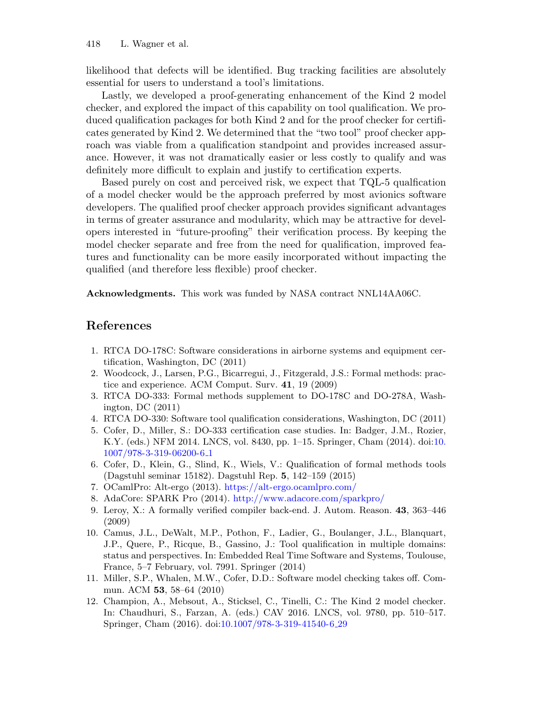likelihood that defects will be identified. Bug tracking facilities are absolutely essential for users to understand a tool's limitations.

Lastly, we developed a proof-generating enhancement of the Kind 2 model checker, and explored the impact of this capability on tool qualification. We produced qualification packages for both Kind 2 and for the proof checker for certificates generated by Kind 2. We determined that the "two tool" proof checker approach was viable from a qualification standpoint and provides increased assurance. However, it was not dramatically easier or less costly to qualify and was definitely more difficult to explain and justify to certification experts.

Based purely on cost and perceived risk, we expect that TQL-5 qualfication of a model checker would be the approach preferred by most avionics software developers. The qualified proof checker approach provides significant advantages in terms of greater assurance and modularity, which may be attractive for developers interested in "future-proofing" their verification process. By keeping the model checker separate and free from the need for qualification, improved features and functionality can be more easily incorporated without impacting the qualified (and therefore less flexible) proof checker.

Acknowledgments. This work was funded by NASA contract NNL14AA06C.

### References

- 1. RTCA DO-178C: Software considerations in airborne systems and equipment certification, Washington, DC (2011)
- 2. Woodcock, J., Larsen, P.G., Bicarregui, J., Fitzgerald, J.S.: Formal methods: practice and experience. ACM Comput. Surv. 41, 19 (2009)
- 3. RTCA DO-333: Formal methods supplement to DO-178C and DO-278A, Washington, DC (2011)
- 4. RTCA DO-330: Software tool qualification considerations, Washington, DC (2011)
- 5. Cofer, D., Miller, S.: DO-333 certification case studies. In: Badger, J.M., Rozier, K.Y. (eds.) NFM 2014. LNCS, vol. 8430, pp. 1–15. Springer, Cham (2014). doi:10. 1007/978-3-319-06200-6 1
- 6. Cofer, D., Klein, G., Slind, K., Wiels, V.: Qualification of formal methods tools (Dagstuhl seminar 15182). Dagstuhl Rep. 5, 142–159 (2015)
- 7. OCamlPro: Alt-ergo (2013). https://alt-ergo.ocamlpro.com/
- 8. AdaCore: SPARK Pro (2014). http://www.adacore.com/sparkpro/
- 9. Leroy, X.: A formally verified compiler back-end. J. Autom. Reason. 43, 363–446 (2009)
- 10. Camus, J.L., DeWalt, M.P., Pothon, F., Ladier, G., Boulanger, J.L., Blanquart, J.P., Quere, P., Ricque, B., Gassino, J.: Tool qualification in multiple domains: status and perspectives. In: Embedded Real Time Software and Systems, Toulouse, France, 5–7 February, vol. 7991. Springer (2014)
- 11. Miller, S.P., Whalen, M.W., Cofer, D.D.: Software model checking takes off. Commun. ACM 53, 58-64 (2010)
- 12. Champion, A., Mebsout, A., Sticksel, C., Tinelli, C.: The Kind 2 model checker. In: Chaudhuri, S., Farzan, A. (eds.) CAV 2016. LNCS, vol. 9780, pp. 510–517. Springer, Cham (2016). doi:10.1007/978-3-319-41540-6 29